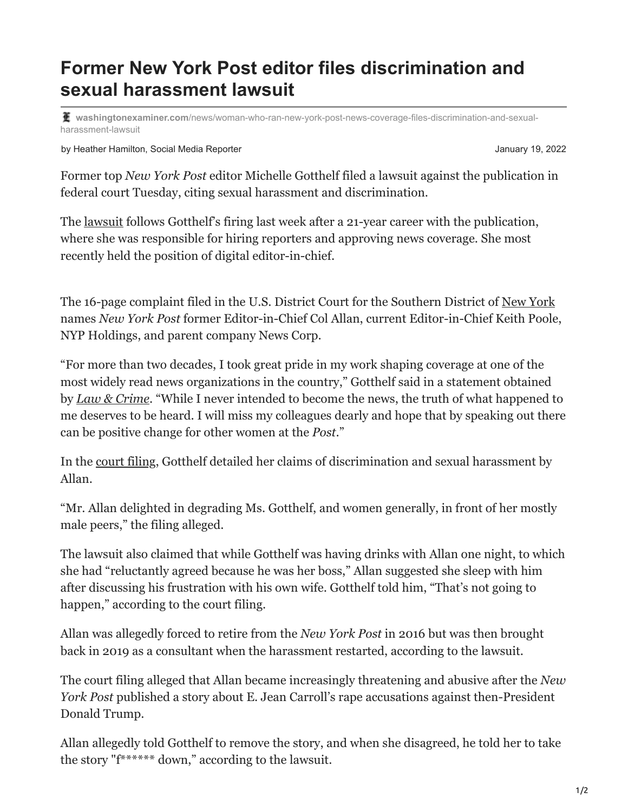## **Former New York Post editor files discrimination and sexual harassment lawsuit**

**washingtonexaminer.com**[/news/woman-who-ran-new-york-post-news-coverage-files-discrimination-and-sexual](https://www.washingtonexaminer.com/news/woman-who-ran-new-york-post-news-coverage-files-discrimination-and-sexual-harassment-lawsuit)harassment-lawsuit

by Heather Hamilton, Social Media Reporter  $\blacksquare$  January 19, 2022

Former top *New York Post* editor Michelle Gotthelf filed a lawsuit against the publication in federal court Tuesday, citing sexual harassment and discrimination.

The [lawsuit](https://s3.documentcloud.org/documents/21181242/gotthelf-v-ny-post.pdf) follows Gotthelf's firing last week after a 21-year career with the publication, where she was responsible for hiring reporters and approving news coverage. She most recently held the position of digital editor-in-chief.

The 16-page complaint filed in the U.S. District Court for the Southern District of [New York](https://www.washingtonexaminer.com/tag/new-york) names *New York Post* former Editor-in-Chief Col Allan, current Editor-in-Chief Keith Poole, NYP Holdings, and parent company News Corp.

"For more than two decades, I took great pride in my work shaping coverage at one of the most widely read news organizations in the country," Gotthelf said in a statement obtained by *[Law & Crime](https://lawandcrime.com/lawsuit/federal-lawsuit-accuses-new-york-post-former-and-current-editors-in-chief-of-sexual-harassment-and-retaliation/)*. "While I never intended to become the news, the truth of what happened to me deserves to be heard. I will miss my colleagues dearly and hope that by speaking out there can be positive change for other women at the *Post*."

In the [court filing,](https://www.washingtonexaminer.com/tag/lawsuit) Gotthelf detailed her claims of discrimination and sexual harassment by Allan.

"Mr. Allan delighted in degrading Ms. Gotthelf, and women generally, in front of her mostly male peers," the filing alleged.

The lawsuit also claimed that while Gotthelf was having drinks with Allan one night, to which she had "reluctantly agreed because he was her boss," Allan suggested she sleep with him after discussing his frustration with his own wife. Gotthelf told him, "That's not going to happen," according to the court filing.

Allan was allegedly forced to retire from the *New York Post* in 2016 but was then brought back in 2019 as a consultant when the harassment restarted, according to the lawsuit.

The court filing alleged that Allan became increasingly threatening and abusive after the *New York Post* published a story about E. Jean Carroll's rape accusations against then-President Donald Trump.

Allan allegedly told Gotthelf to remove the story, and when she disagreed, he told her to take the story "f\*\*\*\*\*\* down," according to the lawsuit.